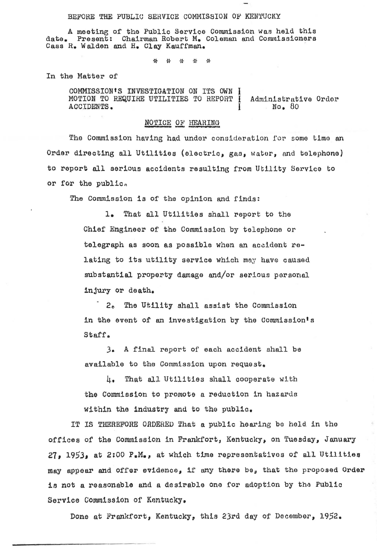## BEFORE THE PUBLIC SERVICE COMMISSION OF KENTUCKY

A meeting of the Public Service Commission was held this Present: Chairman Robert M. Coleman and Commissioners date. Cass R. Walden and H. Clay Kauffman.

> ፥ነት  $45^{\circ}$ 非 بإي  $\frac{1}{2}$

In the Matter of

COMMISSION'S INVESTIGATION ON ITS OWN N MOTION TO REQUIRE UTILITIES TO REPORT I Administrative Order ACCIDENTS.  $No. 80$ 

## NOTICE OF HEARING

The Commission having had under consideration for some time an Order directing all Utilities (electric, gas, water, and telephone) to report all serious accidents resulting from Utility Service to or for the public.

The Commission is of the opinion and finds:

 $1.$ That all Utilities shall report to the Chief Engineer of the Commission by telephone or telegraph as soon as possible when an accident relating to its utility service which may have caused substantial property damage and/or serious personal injury or death.

 $2<sub>0</sub>$ The Utility shall assist the Commission in the event of an investigation by the Commission's Staff.

A final report of each accident shall be  $3<sub>o</sub>$ available to the Commission upon request.

 $l_{\mathbf{I} \bullet}$ That all Utilities shall cooperate with the Commission to promote a reduction in hazards within the industry and to the public.

IT IS THEREFORE ORDERED That a public hearing be held in the offices of the Commission in Frankfort, Kentucky, on Tuesday, January 27, 1953, at 2:00 P.M., at which time representatives of all Utilities may appear and offer evidence, if any there be, that the proposed Order is not a reasonable and a desirable one for adoption by the Public Service Commission of Kentucky.

Done at Frankfort, Kentucky, this 23rd day of December, 1952.